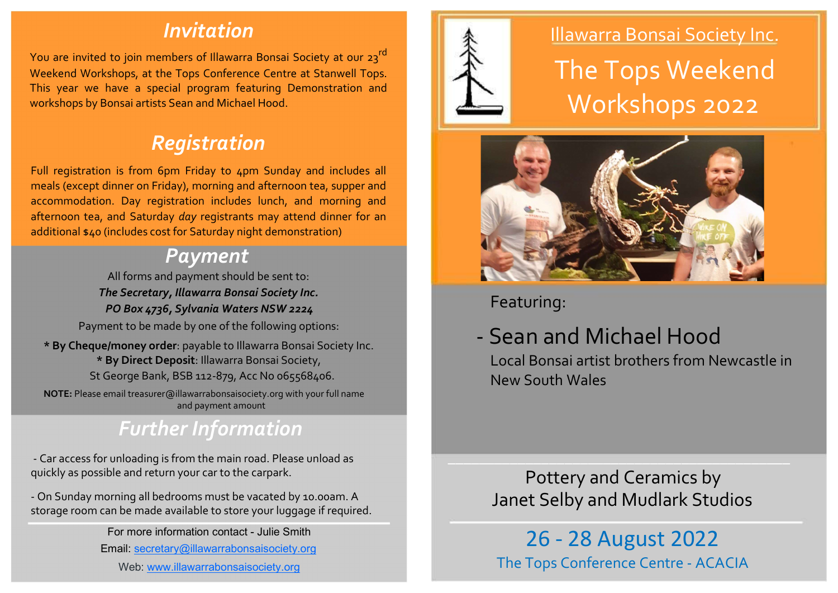## Invitation

You are invited to join members of Illawarra Bonsai Society at our 23<sup>rd</sup> Weekend Workshops, at the Tops Conference Centre at Stanwell Tops. This year we have a special program featuring Demonstration and workshops by Bonsai artists Sean and Michael Hood.

# Registration

Full registration is from 6pm Friday to 4pm Sunday and includes all meals (except dinner on Friday), morning and afternoon tea, supper and accommodation. Day registration includes lunch, and morning and afternoon tea, and Saturday day registrants may attend dinner for an additional \$40 (includes cost for Saturday night demonstration)

### Payment

All forms and payment should be sent to: The Secretary, Illawarra Bonsai Society Inc. PO Box 4736, Sylvania Waters NSW 2224

Payment to be made by one of the following options:

\* By Cheque/money order: payable to Illawarra Bonsai Society Inc. \* By Direct Deposit: Illawarra Bonsai Society,

St George Bank, BSB 112-879, Acc No 065568406.

NOTE: Please email treasurer@illawarrabonsaisociety.org with your full name and payment amount

# Further Information

- Car access for unloading is from the main road. Please unload as quickly as possible and return your car to the carpark.

- On Sunday morning all bedrooms must be vacated by 10.00am. A storage room can be made available to store your luggage if required.

For more information contact - Julie Smith

Email: secretary@illawarrabonsaisociety.org

Web: www.illawarrabonsaisociety.org



### Illawarra Bonsai Society Inc.

The Tops Weekend Workshops 2022



Featuring:

# - Sean and Michael Hood

Local Bonsai artist brothers from Newcastle in New South Wales

Pottery and Ceramics by Janet Selby and Mudlark Studios

\_\_\_\_\_\_\_\_\_\_\_\_\_\_\_\_\_\_\_\_\_\_\_\_\_\_\_\_\_\_\_\_\_\_\_\_\_\_\_\_\_\_\_\_

26 - 28 August 2022 The Tops Conference Centre - ACACIA